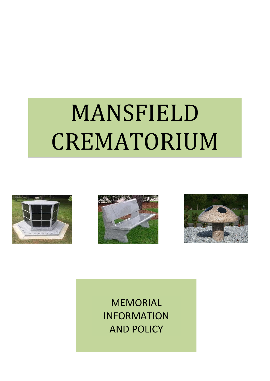# MANSFIELD CREMATORIUM







MEMORIAL INFORMATION AND POLICY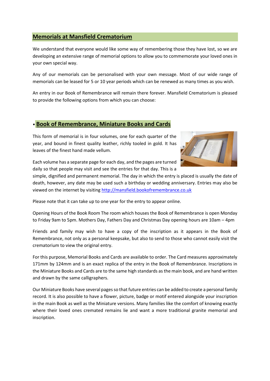### **Memorials at Mansfield Crematorium**

We understand that everyone would like some way of remembering those they have lost, so we are developing an extensive range of memorial options to allow you to commemorate your loved ones in your own special way.

Any of our memorials can be personalised with your own message. Most of our wide range of memorials can be leased for 5 or 10 year periods which can be renewed as many times as you wish.

An entry in our Book of Remembrance will remain there forever. Mansfield Crematorium is pleased to provide the following options from which you can choose:

#### • **Book of Remembrance, Miniature Books and Cards**

This form of memorial is in four volumes, one for each quarter of the year, and bound in finest quality leather, richly tooled in gold. It has leaves of the finest hand made vellum.



Each volume has a separate page for each day, and the pages are turned daily so that people may visit and see the entries for that day. This is a

simple, dignified and permanent memorial. The day in which the entry is placed is usually the date of death, however, any date may be used such a birthday or wedding anniversary. Entries may also be viewed on the internet by visiting [http://mansfield.bookofremembrance.co.uk](http://mansfield.bookofremembrance.co.uk/)

Please note that it can take up to one year for the entry to appear online.

Opening Hours of the Book Room The room which houses the Book of Remembrance is open Monday to Friday 9am to 5pm. Mothers Day, Fathers Day and Christmas Day opening hours are 10am – 4pm

Friends and family may wish to have a copy of the inscription as it appears in the Book of Remembrance, not only as a personal keepsake, but also to send to those who cannot easily visit the crematorium to view the original entry.

For this purpose, Memorial Books and Cards are available to order. The Card measures approximately 171mm by 124mm and is an exact replica of the entry in the Book of Remembrance. Inscriptions in the Miniature Books and Cards are to the same high standards as the main book, and are hand written and drawn by the same calligraphers.

Our Miniature Books have several pages so that future entries can be added to create a personal family record. It is also possible to have a flower, picture, badge or motif entered alongside your inscription in the main Book as well as the Miniature versions. Many families like the comfort of knowing exactly where their loved ones cremated remains lie and want a more traditional granite memorial and inscription.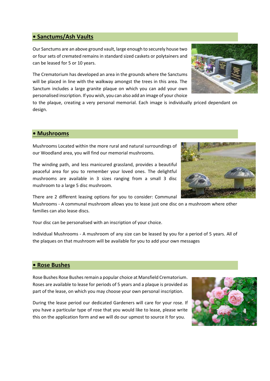#### **• Sanctums/Ash Vaults**

Our Sanctums are an above ground vault, large enough to securely house two or four sets of cremated remains in standard sized caskets or polytainers and can be leased for 5 or 10 years.

The Crematorium has developed an area in the grounds where the Sanctums will be placed in line with the walkway amongst the trees in this area. The Sanctum includes a large granite plaque on which you can add your own personalised inscription. If you wish, you can also add an image of your choice

to the plaque, creating a very personal memorial. Each image is individually priced dependant on design.

#### **• Mushrooms**

Mushrooms Located within the more rural and natural surroundings of our Woodland area, you will find our memorial mushrooms.

The winding path, and less manicured grassland, provides a beautiful peaceful area for you to remember your loved ones. The delightful mushrooms are available in 3 sizes ranging from a small 3 disc mushroom to a large 5 disc mushroom.

There are 2 different leasing options for you to consider: Communal

Mushrooms - A communal mushroom allows you to lease just one disc on a mushroom where other families can also lease discs.

Your disc can be personalised with an inscription of your choice.

Individual Mushrooms - A mushroom of any size can be leased by you for a period of 5 years. All of the plaques on that mushroom will be available for you to add your own messages

#### **• Rose Bushes**

Rose Bushes Rose Bushes remain a popular choice at Mansfield Crematorium. Roses are available to lease for periods of 5 years and a plaque is provided as part of the lease, on which you may choose your own personal inscription.

During the lease period our dedicated Gardeners will care for your rose. If you have a particular type of rose that you would like to lease, please write this on the application form and we will do our upmost to source it for you.





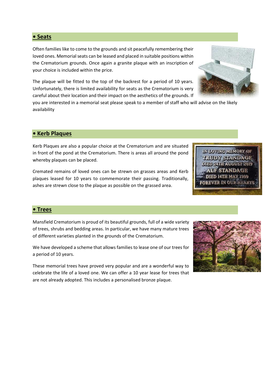**• Seats** 

Often families like to come to the grounds and sit peacefully remembering their loved ones. Memorial seats can be leased and placed in suitable positions within the Crematorium grounds. Once again a granite plaque with an inscription of your choice is included within the price.

The plaque will be fitted to the top of the backrest for a period of 10 years. Unfortunately, there is limited availability for seats as the Crematorium is very careful about their location and their impact on the aesthetics of the grounds. If

you are interested in a memorial seat please speak to a member of staff who will advise on the likely availability

#### **• Kerb Plaques**

Kerb Plaques are also a popular choice at the Crematorium and are situated in front of the pond at the Crematorium. There is areas all around the pond whereby plaques can be placed.

Cremated remains of loved ones can be strewn on grasses areas and Kerb plaques leased for 10 years to commemorate their passing. Traditionally, ashes are strewn close to the plaque as possible on the grassed area.

## **• Trees**

Mansfield Crematorium is proud of its beautiful grounds, full of a wide variety of trees, shrubs and bedding areas. In particular, we have many mature trees of different varieties planted in the grounds of the Crematorium.

We have developed a scheme that allows families to lease one of our trees for a period of 10 years.

These memorial trees have proved very popular and are a wonderful way to celebrate the life of a loved one. We can offer a 10 year lease for trees that are not already adopted. This includes a personalised bronze plaque.





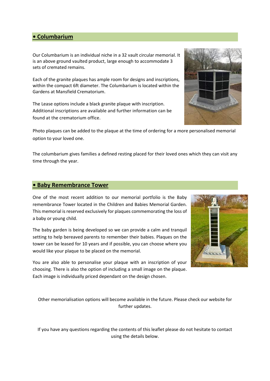#### **• Columbarium**

Our Columbarium is an individual niche in a 32 vault circular memorial. It is an above ground vaulted product, large enough to accommodate 3 sets of cremated remains.

Each of the granite plaques has ample room for designs and inscriptions, within the compact 6ft diameter. The Columbarium is located within the Gardens at Mansfield Crematorium.

The Lease options include a black granite plaque with inscription. Additional inscriptions are available and further information can be found at the crematorium office.

Photo plaques can be added to the plaque at the time of ordering for a more personalised memorial option to your loved one.

The columbarium gives families a defined resting placed for their loved ones which they can visit any time through the year.

#### **• Baby Remembrance Tower**

One of the most recent addition to our memorial portfolio is the Baby remembrance Tower located in the Children and Babies Memorial Garden. This memorial is reserved exclusively for plaques commemorating the loss of a baby or young child.

The baby garden is being developed so we can provide a calm and tranquil setting to help bereaved parents to remember their babies. Plaques on the tower can be leased for 10 years and if possible, you can choose where you would like your plaque to be placed on the memorial.

You are also able to personalise your plaque with an inscription of your choosing. There is also the option of including a small image on the plaque. Each image is individually priced dependant on the design chosen.

Other memorialisation options will become available in the future. Please check our website for further updates.

If you have any questions regarding the contents of this leaflet please do not hesitate to contact using the details below.



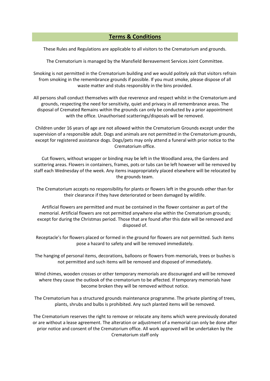#### **Terms & Conditions**

These Rules and Regulations are applicable to all visitors to the Crematorium and grounds.

The Crematorium is managed by the Mansfield Bereavement Services Joint Committee.

Smoking is not permitted in the Crematorium building and we would politely ask that visitors refrain from smoking in the remembrance grounds if possible. If you must smoke, please dispose of all waste matter and stubs responsibly in the bins provided.

All persons shall conduct themselves with due reverence and respect whilst in the Crematorium and grounds, respecting the need for sensitivity, quiet and privacy in all remembrance areas. The disposal of Cremated Remains within the grounds can only be conducted by a prior appointment with the office. Unauthorised scatterings/disposals will be removed.

Children under 16 years of age are not allowed within the Crematorium Grounds except under the supervision of a responsible adult. Dogs and animals are not permitted in the Crematorium grounds, except for registered assistance dogs. Dogs/pets may only attend a funeral with prior notice to the Crematorium office.

Cut flowers, without wrapper or binding may be left in the Woodland area, the Gardens and scattering areas. Flowers in containers, frames, pots or tubs can be left however will be removed by staff each Wednesday of the week. Any items inappropriately placed elsewhere will be relocated by the grounds team.

The Crematorium accepts no responsibility for plants or flowers left in the grounds other than for their clearance if they have deteriorated or been damaged by wildlife.

Artificial flowers are permitted and must be contained in the flower container as part of the memorial. Artificial flowers are not permitted anywhere else within the Crematorium grounds; except for during the Christmas period. Those that are found after this date will be removed and disposed of.

Receptacle's for flowers placed or formed in the ground for flowers are not permitted. Such items pose a hazard to safety and will be removed immediately.

The hanging of personal items, decorations, balloons or flowers from memorials, trees or bushes is not permitted and such items will be removed and disposed of immediately.

Wind chimes, wooden crosses or other temporary memorials are discouraged and will be removed where they cause the outlook of the crematorium to be affected. If temporary memorials have become broken they will be removed without notice.

The Crematorium has a structured grounds maintenance programme. The private planting of trees, plants, shrubs and bulbs is prohibited. Any such planted items will be removed.

The Crematorium reserves the right to remove or relocate any items which were previously donated or are without a lease agreement. The alteration or adjustment of a memorial can only be done after prior notice and consent of the Crematorium office. All work approved will be undertaken by the Crematorium staff only